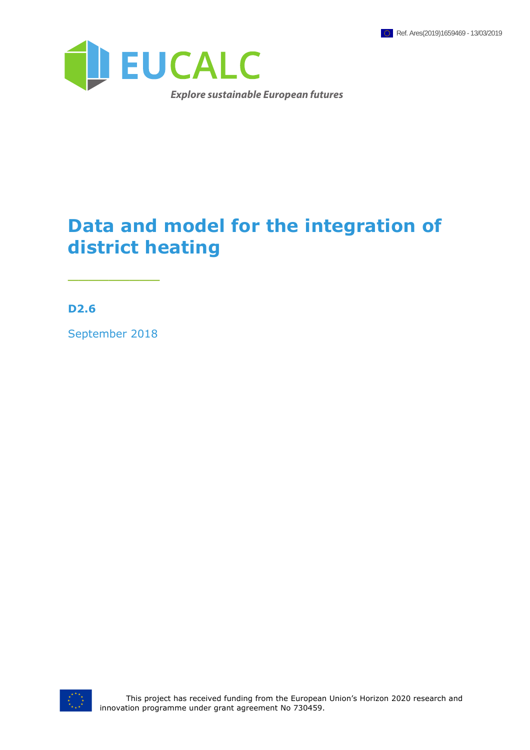

## **Data and model for the integration of district heating**

**D2.6**

September 2018

 $\overline{\phantom{a}}$  , where  $\overline{\phantom{a}}$ 

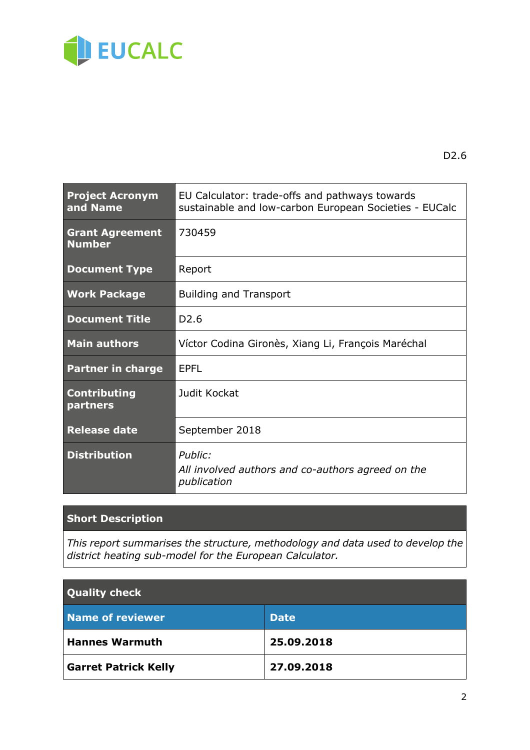

D2.6

| <b>Project Acronym</b><br>and Name      | EU Calculator: trade-offs and pathways towards<br>sustainable and low-carbon European Societies - EUCalc |  |  |
|-----------------------------------------|----------------------------------------------------------------------------------------------------------|--|--|
| <b>Grant Agreement</b><br><b>Number</b> | 730459                                                                                                   |  |  |
| <b>Document Type</b>                    | Report                                                                                                   |  |  |
| <b>Work Package</b>                     | <b>Building and Transport</b>                                                                            |  |  |
| <b>Document Title</b>                   | D <sub>2.6</sub>                                                                                         |  |  |
| <b>Main authors</b>                     | Víctor Codina Gironès, Xiang Li, François Maréchal                                                       |  |  |
| <b>Partner in charge</b>                | <b>EPFL</b>                                                                                              |  |  |
| <b>Contributing</b><br>partners         | Judit Kockat                                                                                             |  |  |
| <b>Release date</b>                     | September 2018                                                                                           |  |  |
| <b>Distribution</b>                     | Public:<br>All involved authors and co-authors agreed on the<br>publication                              |  |  |

#### **Short Description**

*This report summarises the structure, methodology and data used to develop the district heating sub-model for the European Calculator.* 

| <b>Quality check</b>        |             |  |  |
|-----------------------------|-------------|--|--|
| <b>Name of reviewer</b>     | <b>Date</b> |  |  |
| <b>Hannes Warmuth</b>       | 25.09.2018  |  |  |
| <b>Garret Patrick Kelly</b> | 27.09.2018  |  |  |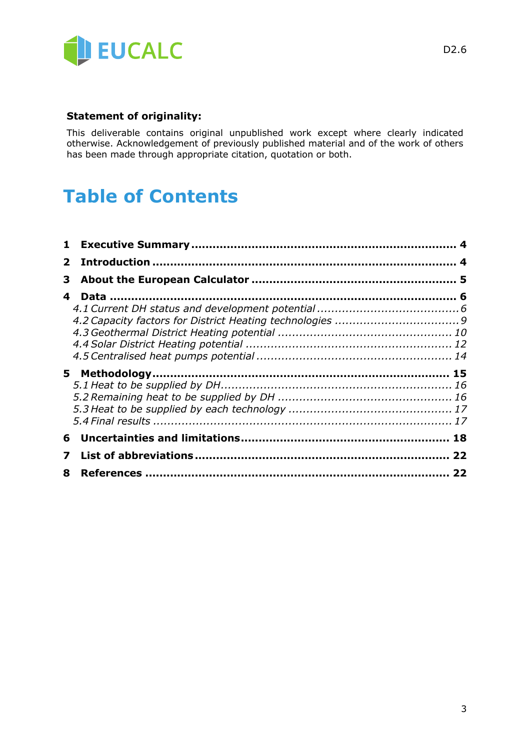

#### **Statement of originality:**

This deliverable contains original unpublished work except where clearly indicated otherwise. Acknowledgement of previously published material and of the work of others has been made through appropriate citation, quotation or both.

## **Table of Contents**

| $\mathbf{2}^-$ |  |
|----------------|--|
| 3              |  |
| 4              |  |
|                |  |
|                |  |
|                |  |
|                |  |
|                |  |
|                |  |
|                |  |
|                |  |
|                |  |
|                |  |
| 7              |  |
| 8              |  |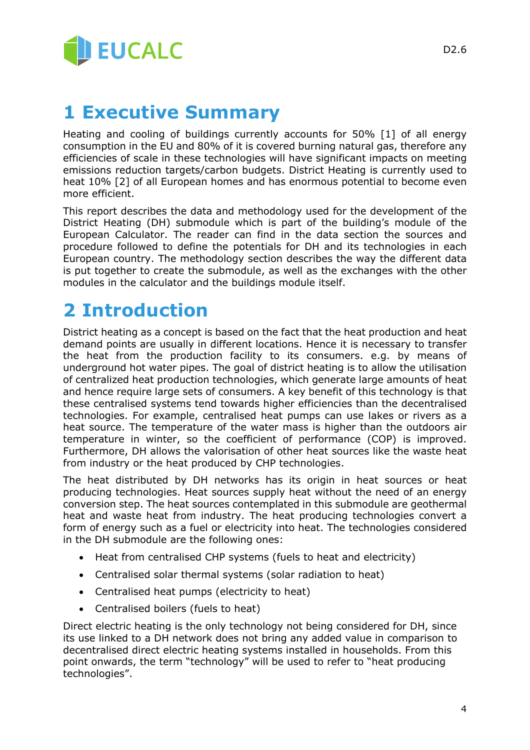

## **1 Executive Summary**

Heating and cooling of buildings currently accounts for 50% [1] of all energy consumption in the EU and 80% of it is covered burning natural gas, therefore any efficiencies of scale in these technologies will have significant impacts on meeting emissions reduction targets/carbon budgets. District Heating is currently used to heat 10% [2] of all European homes and has enormous potential to become even more efficient.

This report describes the data and methodology used for the development of the District Heating (DH) submodule which is part of the building's module of the European Calculator. The reader can find in the data section the sources and procedure followed to define the potentials for DH and its technologies in each European country. The methodology section describes the way the different data is put together to create the submodule, as well as the exchanges with the other modules in the calculator and the buildings module itself.

## **2 Introduction**

District heating as a concept is based on the fact that the heat production and heat demand points are usually in different locations. Hence it is necessary to transfer the heat from the production facility to its consumers. e.g. by means of underground hot water pipes. The goal of district heating is to allow the utilisation of centralized heat production technologies, which generate large amounts of heat and hence require large sets of consumers. A key benefit of this technology is that these centralised systems tend towards higher efficiencies than the decentralised technologies. For example, centralised heat pumps can use lakes or rivers as a heat source. The temperature of the water mass is higher than the outdoors air temperature in winter, so the coefficient of performance (COP) is improved. Furthermore, DH allows the valorisation of other heat sources like the waste heat from industry or the heat produced by CHP technologies.

The heat distributed by DH networks has its origin in heat sources or heat producing technologies. Heat sources supply heat without the need of an energy conversion step. The heat sources contemplated in this submodule are geothermal heat and waste heat from industry. The heat producing technologies convert a form of energy such as a fuel or electricity into heat. The technologies considered in the DH submodule are the following ones:

- Heat from centralised CHP systems (fuels to heat and electricity)
- Centralised solar thermal systems (solar radiation to heat)
- Centralised heat pumps (electricity to heat)
- Centralised boilers (fuels to heat)

Direct electric heating is the only technology not being considered for DH, since its use linked to a DH network does not bring any added value in comparison to decentralised direct electric heating systems installed in households. From this point onwards, the term "technology" will be used to refer to "heat producing technologies".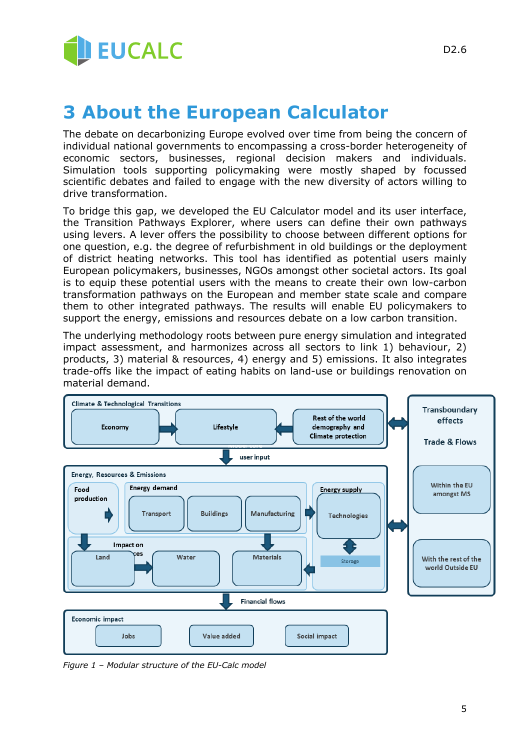

## **3 About the European Calculator**

The debate on decarbonizing Europe evolved over time from being the concern of individual national governments to encompassing a cross-border heterogeneity of economic sectors, businesses, regional decision makers and individuals. Simulation tools supporting policymaking were mostly shaped by focussed scientific debates and failed to engage with the new diversity of actors willing to drive transformation.

To bridge this gap, we developed the EU Calculator model and its user interface, the Transition Pathways Explorer, where users can define their own pathways using levers. A lever offers the possibility to choose between different options for one question, e.g. the degree of refurbishment in old buildings or the deployment of district heating networks. This tool has identified as potential users mainly European policymakers, businesses, NGOs amongst other societal actors. Its goal is to equip these potential users with the means to create their own low-carbon transformation pathways on the European and member state scale and compare them to other integrated pathways. The results will enable EU policymakers to support the energy, emissions and resources debate on a low carbon transition.

The underlying methodology roots between pure energy simulation and integrated impact assessment, and harmonizes across all sectors to link 1) behaviour, 2) products, 3) material & resources, 4) energy and 5) emissions. It also integrates trade-offs like the impact of eating habits on land-use or buildings renovation on material demand.



*Figure 1 – Modular structure of the EU-Calc model*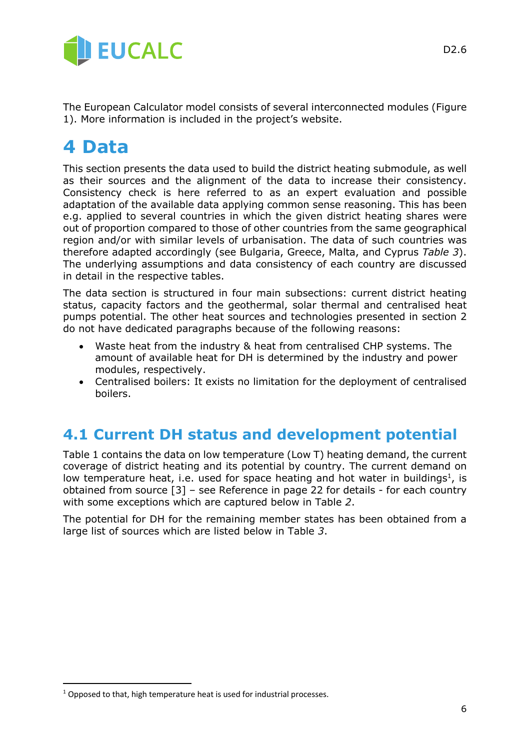

The European Calculator model consists of several interconnected modules (Figure 1). More information is included in the project's website.

### **4 Data**

This section presents the data used to build the district heating submodule, as well as their sources and the alignment of the data to increase their consistency. Consistency check is here referred to as an expert evaluation and possible adaptation of the available data applying common sense reasoning. This has been e.g. applied to several countries in which the given district heating shares were out of proportion compared to those of other countries from the same geographical region and/or with similar levels of urbanisation. The data of such countries was therefore adapted accordingly (see Bulgaria, Greece, Malta, and Cyprus *Table 3*). The underlying assumptions and data consistency of each country are discussed in detail in the respective tables.

The data section is structured in four main subsections: current district heating status, capacity factors and the geothermal, solar thermal and centralised heat pumps potential. The other heat sources and technologies presented in section 2 do not have dedicated paragraphs because of the following reasons:

- Waste heat from the industry & heat from centralised CHP systems. The amount of available heat for DH is determined by the industry and power modules, respectively.
- Centralised boilers: It exists no limitation for the deployment of centralised boilers.

### **4.1 Current DH status and development potential**

Table 1 contains the data on low temperature (Low T) heating demand, the current coverage of district heating and its potential by country. The current demand on low temperature heat, i.e. used for space heating and hot water in buildings<sup>1</sup>, is obtained from source [3] – see Reference in page 22 for details - for each country with some exceptions which are captured below in Table *2*.

The potential for DH for the remaining member states has been obtained from a large list of sources which are listed below in Table *3*.

 $\overline{a}$ 

 $1$  Opposed to that, high temperature heat is used for industrial processes.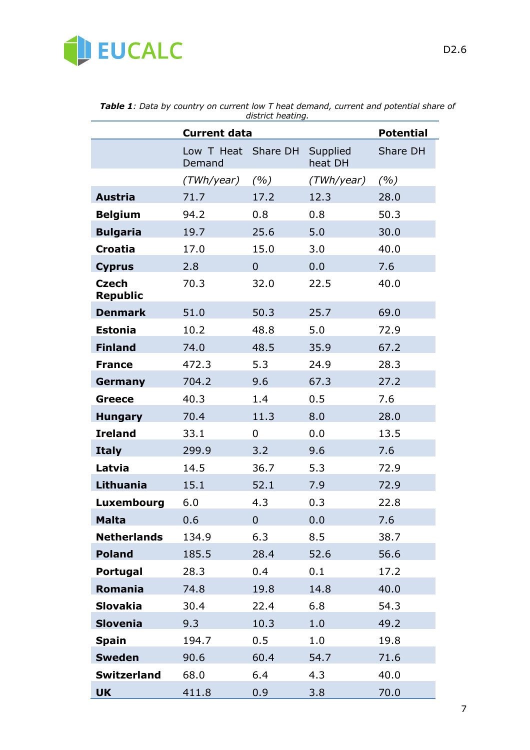

|                                 | <b>Current data</b>           |                |                     | <b>Potential</b> |
|---------------------------------|-------------------------------|----------------|---------------------|------------------|
|                                 | Low T Heat Share DH<br>Demand |                | Supplied<br>heat DH | Share DH         |
|                                 | (TWh/year)                    | (%)            | (TWh/year)          | (%)              |
| <b>Austria</b>                  | 71.7                          | 17.2           | 12.3                | 28.0             |
| <b>Belgium</b>                  | 94.2                          | 0.8            | 0.8                 | 50.3             |
| <b>Bulgaria</b>                 | 19.7                          | 25.6           | 5.0                 | 30.0             |
| <b>Croatia</b>                  | 17.0                          | 15.0           | 3.0                 | 40.0             |
| <b>Cyprus</b>                   | 2.8                           | $\overline{0}$ | 0.0                 | 7.6              |
| <b>Czech</b><br><b>Republic</b> | 70.3                          | 32.0           | 22.5                | 40.0             |
| <b>Denmark</b>                  | 51.0                          | 50.3           | 25.7                | 69.0             |
| <b>Estonia</b>                  | 10.2                          | 48.8           | 5.0                 | 72.9             |
| <b>Finland</b>                  | 74.0                          | 48.5           | 35.9                | 67.2             |
| <b>France</b>                   | 472.3                         | 5.3            | 24.9                | 28.3             |
| Germany                         | 704.2                         | 9.6            | 67.3                | 27.2             |
| <b>Greece</b>                   | 40.3                          | 1.4            | 0.5                 | 7.6              |
| <b>Hungary</b>                  | 70.4                          | 11.3           | 8.0                 | 28.0             |
| <b>Ireland</b>                  | 33.1                          | 0              | 0.0                 | 13.5             |
| <b>Italy</b>                    | 299.9                         | 3.2            | 9.6                 | 7.6              |
| Latvia                          | 14.5                          | 36.7           | 5.3                 | 72.9             |
| Lithuania                       | 15.1                          | 52.1           | 7.9                 | 72.9             |
| Luxembourg                      | 6.0                           | 4.3            | 0.3                 | 22.8             |
| <b>Malta</b>                    | 0.6                           | $\overline{0}$ | 0.0                 | 7.6              |
| <b>Netherlands</b>              | 134.9                         | 6.3            | 8.5                 | 38.7             |
| <b>Poland</b>                   | 185.5                         | 28.4           | 52.6                | 56.6             |
| Portugal                        | 28.3                          | 0.4            | 0.1                 | 17.2             |
| Romania                         | 74.8                          | 19.8           | 14.8                | 40.0             |
| <b>Slovakia</b>                 | 30.4                          | 22.4           | 6.8                 | 54.3             |
| <b>Slovenia</b>                 | 9.3                           | 10.3           | 1.0                 | 49.2             |
| <b>Spain</b>                    | 194.7                         | 0.5            | 1.0                 | 19.8             |
| <b>Sweden</b>                   | 90.6                          | 60.4           | 54.7                | 71.6             |
| <b>Switzerland</b>              | 68.0                          | 6.4            | 4.3                 | 40.0             |
| <b>UK</b>                       | 411.8                         | 0.9            | 3.8                 | 70.0             |

*Table 1: Data by country on current low T heat demand, current and potential share of district heating.*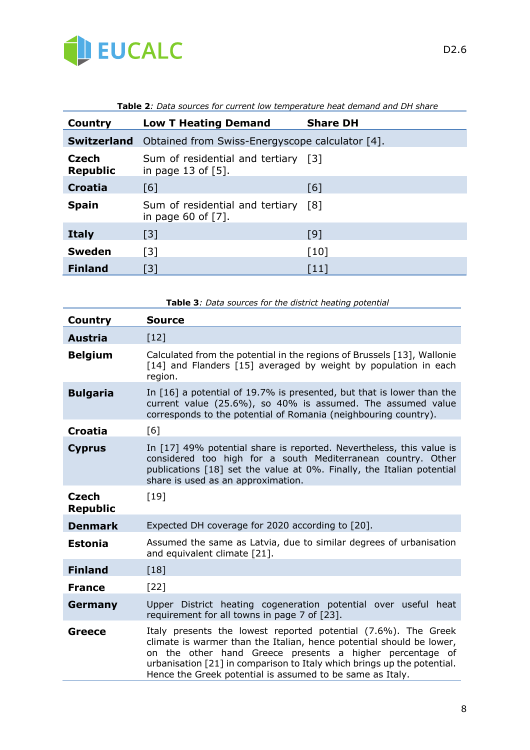

| Country                         | <b>Low T Heating Demand</b>                                  | <b>Share DH</b>    |  |
|---------------------------------|--------------------------------------------------------------|--------------------|--|
| <b>Switzerland</b>              | Obtained from Swiss-Energyscope calculator [4].              |                    |  |
| <b>Czech</b><br><b>Republic</b> | Sum of residential and tertiary [3]<br>in page 13 of $[5]$ . |                    |  |
| <b>Croatia</b>                  | [6]                                                          | [6]                |  |
| <b>Spain</b>                    | Sum of residential and tertiary<br>in page 60 of $[7]$ .     | [8]                |  |
| <b>Italy</b>                    | $\lceil 3 \rceil$                                            | [9]                |  |
| <b>Sweden</b>                   | $\lceil 3 \rceil$                                            | $\lceil 10 \rceil$ |  |
| <b>Finland</b>                  | $\lceil 3 \rceil$                                            | $[11]$             |  |

| Table 2: Data sources for current low temperature heat demand and DH share |  |
|----------------------------------------------------------------------------|--|
|----------------------------------------------------------------------------|--|

|                                 | Table 3: Data sources for the district heating potential                                                                                                                                                                                                                                                                                   |
|---------------------------------|--------------------------------------------------------------------------------------------------------------------------------------------------------------------------------------------------------------------------------------------------------------------------------------------------------------------------------------------|
| <b>Country</b>                  | <b>Source</b>                                                                                                                                                                                                                                                                                                                              |
| <b>Austria</b>                  | $[12]$                                                                                                                                                                                                                                                                                                                                     |
| <b>Belgium</b>                  | Calculated from the potential in the regions of Brussels [13], Wallonie<br>[14] and Flanders [15] averaged by weight by population in each<br>region.                                                                                                                                                                                      |
| <b>Bulgaria</b>                 | In [16] a potential of 19.7% is presented, but that is lower than the<br>current value (25.6%), so 40% is assumed. The assumed value<br>corresponds to the potential of Romania (neighbouring country).                                                                                                                                    |
| <b>Croatia</b>                  | [6]                                                                                                                                                                                                                                                                                                                                        |
| <b>Cyprus</b>                   | In [17] 49% potential share is reported. Nevertheless, this value is<br>considered too high for a south Mediterranean country. Other<br>publications [18] set the value at 0%. Finally, the Italian potential<br>share is used as an approximation.                                                                                        |
| <b>Czech</b><br><b>Republic</b> | [19]                                                                                                                                                                                                                                                                                                                                       |
| <b>Denmark</b>                  | Expected DH coverage for 2020 according to [20].                                                                                                                                                                                                                                                                                           |
| <b>Estonia</b>                  | Assumed the same as Latvia, due to similar degrees of urbanisation<br>and equivalent climate [21].                                                                                                                                                                                                                                         |
| <b>Finland</b>                  | $[18]$                                                                                                                                                                                                                                                                                                                                     |
| <b>France</b>                   | $[22]$                                                                                                                                                                                                                                                                                                                                     |
| Germany                         | Upper District heating cogeneration potential over useful heat<br>requirement for all towns in page 7 of [23].                                                                                                                                                                                                                             |
| Greece                          | Italy presents the lowest reported potential (7.6%). The Greek<br>climate is warmer than the Italian, hence potential should be lower,<br>on the other hand Greece presents a higher percentage of<br>urbanisation [21] in comparison to Italy which brings up the potential.<br>Hence the Greek potential is assumed to be same as Italy. |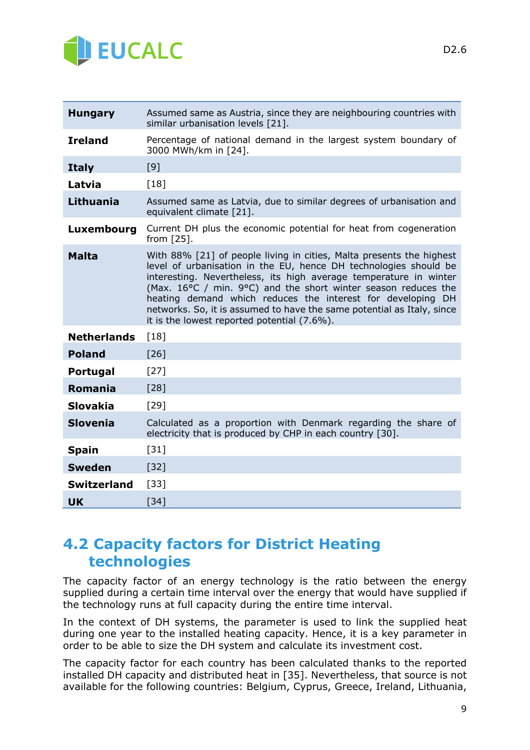

| <b>Hungary</b>     | Assumed same as Austria, since they are neighbouring countries with<br>similar urbanisation levels [21].                                                                                                                                                                                                                                                                                                                                                                |  |
|--------------------|-------------------------------------------------------------------------------------------------------------------------------------------------------------------------------------------------------------------------------------------------------------------------------------------------------------------------------------------------------------------------------------------------------------------------------------------------------------------------|--|
| <b>Ireland</b>     | Percentage of national demand in the largest system boundary of<br>3000 MWh/km in [24].                                                                                                                                                                                                                                                                                                                                                                                 |  |
| <b>Italy</b>       | [9]                                                                                                                                                                                                                                                                                                                                                                                                                                                                     |  |
| Latvia             | [18]                                                                                                                                                                                                                                                                                                                                                                                                                                                                    |  |
| <b>Lithuania</b>   | Assumed same as Latvia, due to similar degrees of urbanisation and<br>equivalent climate [21].                                                                                                                                                                                                                                                                                                                                                                          |  |
| Luxembourg         | Current DH plus the economic potential for heat from cogeneration<br>from $[25]$ .                                                                                                                                                                                                                                                                                                                                                                                      |  |
| <b>Malta</b>       | With 88% [21] of people living in cities, Malta presents the highest<br>level of urbanisation in the EU, hence DH technologies should be<br>interesting. Nevertheless, its high average temperature in winter<br>(Max. 16°C / min. 9°C) and the short winter season reduces the<br>heating demand which reduces the interest for developing DH<br>networks. So, it is assumed to have the same potential as Italy, since<br>it is the lowest reported potential (7.6%). |  |
| <b>Netherlands</b> | $[18]$                                                                                                                                                                                                                                                                                                                                                                                                                                                                  |  |
| <b>Poland</b>      | [26]                                                                                                                                                                                                                                                                                                                                                                                                                                                                    |  |
| <b>Portugal</b>    | $[27]$                                                                                                                                                                                                                                                                                                                                                                                                                                                                  |  |
| <b>Romania</b>     | $[28]$                                                                                                                                                                                                                                                                                                                                                                                                                                                                  |  |
| <b>Slovakia</b>    | $[29]$                                                                                                                                                                                                                                                                                                                                                                                                                                                                  |  |
| <b>Slovenia</b>    | Calculated as a proportion with Denmark regarding the share of<br>electricity that is produced by CHP in each country [30].                                                                                                                                                                                                                                                                                                                                             |  |
| <b>Spain</b>       | $[31]$                                                                                                                                                                                                                                                                                                                                                                                                                                                                  |  |
| <b>Sweden</b>      | $[32]$                                                                                                                                                                                                                                                                                                                                                                                                                                                                  |  |
| <b>Switzerland</b> | $[33]$                                                                                                                                                                                                                                                                                                                                                                                                                                                                  |  |
| <b>UK</b>          | $[34]$                                                                                                                                                                                                                                                                                                                                                                                                                                                                  |  |

### **4.2 Capacity factors for District Heating technologies**

The capacity factor of an energy technology is the ratio between the energy supplied during a certain time interval over the energy that would have supplied if the technology runs at full capacity during the entire time interval.

In the context of DH systems, the parameter is used to link the supplied heat during one year to the installed heating capacity. Hence, it is a key parameter in order to be able to size the DH system and calculate its investment cost.

The capacity factor for each country has been calculated thanks to the reported installed DH capacity and distributed heat in [35]. Nevertheless, that source is not available for the following countries: Belgium, Cyprus, Greece, Ireland, Lithuania,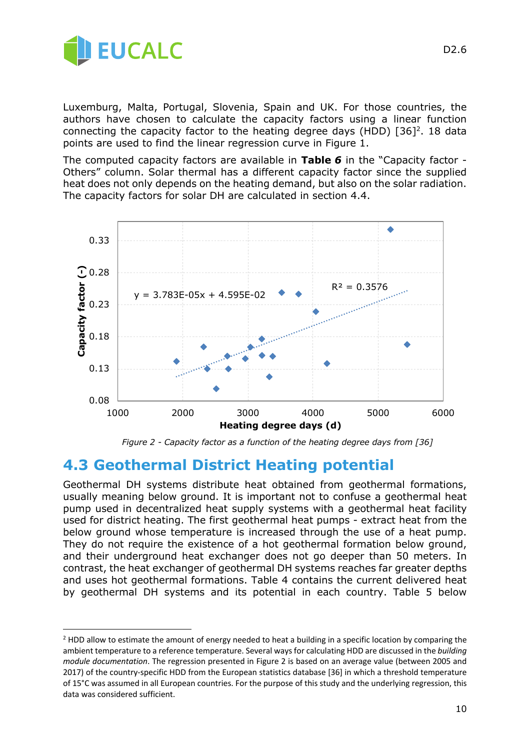

1

Luxemburg, Malta, Portugal, Slovenia, Spain and UK. For those countries, the authors have chosen to calculate the capacity factors using a linear function connecting the capacity factor to the heating degree days (HDD)  $[36]^2$ . 18 data points are used to find the linear regression curve in Figure 1.

The computed capacity factors are available in **Table** *6* in the "Capacity factor - Others" column. Solar thermal has a different capacity factor since the supplied heat does not only depends on the heating demand, but also on the solar radiation. The capacity factors for solar DH are calculated in section 4.4.



*Figure 2 - Capacity factor as a function of the heating degree days from [36]*

#### **4.3 Geothermal District Heating potential**

Geothermal DH systems distribute heat obtained from geothermal formations, usually meaning below ground. It is important not to confuse a geothermal heat pump used in decentralized heat supply systems with a geothermal heat facility used for district heating. The first geothermal heat pumps - extract heat from the below ground whose temperature is increased through the use of a heat pump. They do not require the existence of a hot geothermal formation below ground, and their underground heat exchanger does not go deeper than 50 meters. In contrast, the heat exchanger of geothermal DH systems reaches far greater depths and uses hot geothermal formations. Table 4 contains the current delivered heat by geothermal DH systems and its potential in each country. Table 5 below

<sup>&</sup>lt;sup>2</sup> HDD allow to estimate the amount of energy needed to heat a building in a specific location by comparing the ambient temperature to a reference temperature. Several ways for calculating HDD are discussed in the *building module documentation*. The regression presented in Figure 2 is based on an average value (between 2005 and 2017) of the country-specific HDD from the European statistics database [36] in which a threshold temperature of 15°C was assumed in all European countries. For the purpose of this study and the underlying regression, this data was considered sufficient.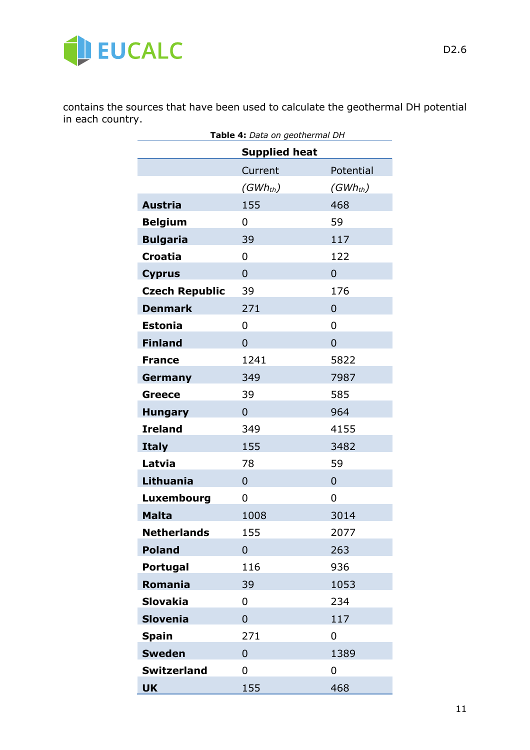

contains the sources that have been used to calculate the geothermal DH potential in each country.

| Table 4: Data on geothermal DH |                |                |  |  |
|--------------------------------|----------------|----------------|--|--|
| <b>Supplied heat</b>           |                |                |  |  |
|                                | Current        | Potential      |  |  |
|                                | $(GWh_{th})$   | $(GWh_{th})$   |  |  |
| <b>Austria</b>                 | 155            | 468            |  |  |
| <b>Belgium</b>                 | 0              | 59             |  |  |
| <b>Bulgaria</b>                | 39             | 117            |  |  |
| <b>Croatia</b>                 | 0              | 122            |  |  |
| <b>Cyprus</b>                  | $\overline{0}$ | $\Omega$       |  |  |
| <b>Czech Republic</b>          | 39             | 176            |  |  |
| <b>Denmark</b>                 | 271            | $\Omega$       |  |  |
| <b>Estonia</b>                 | 0              | 0              |  |  |
| <b>Finland</b>                 | $\overline{0}$ | $\overline{0}$ |  |  |
| <b>France</b>                  | 1241           | 5822           |  |  |
| Germany                        | 349            | 7987           |  |  |
| <b>Greece</b>                  | 39             | 585            |  |  |
| <b>Hungary</b>                 | $\overline{0}$ | 964            |  |  |
| <b>Ireland</b>                 | 349            | 4155           |  |  |
| <b>Italy</b>                   | 155            | 3482           |  |  |
| Latvia                         | 78             | 59             |  |  |
| Lithuania                      | $\overline{0}$ | $\overline{0}$ |  |  |
| Luxembourg                     | 0              | 0              |  |  |
| <b>Malta</b>                   | 1008           | 3014           |  |  |
| <b>Netherlands</b>             | 155            | 2077           |  |  |
| <b>Poland</b>                  | 0              | 263            |  |  |
| <b>Portugal</b>                | 116            | 936            |  |  |
| <b>Romania</b>                 | 39             | 1053           |  |  |
| <b>Slovakia</b>                | 0              | 234            |  |  |
| <b>Slovenia</b>                | $\overline{0}$ | 117            |  |  |
| <b>Spain</b>                   | 271            | 0              |  |  |
| <b>Sweden</b>                  | 0              | 1389           |  |  |
| <b>Switzerland</b>             | 0              | 0              |  |  |
| <b>UK</b>                      | 155            | 468            |  |  |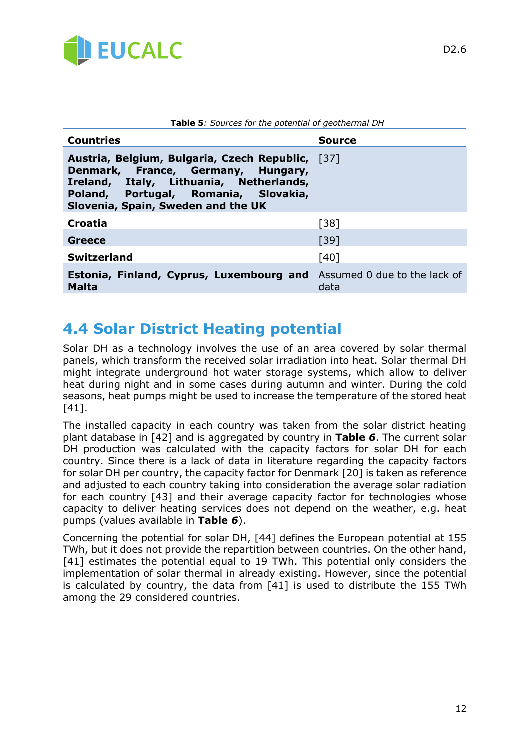

| Table 5: Sources for the potential of geothermal DH                                                                                                                                                                |               |  |
|--------------------------------------------------------------------------------------------------------------------------------------------------------------------------------------------------------------------|---------------|--|
| <b>Countries</b>                                                                                                                                                                                                   | <b>Source</b> |  |
| Austria, Belgium, Bulgaria, Czech Republic, [37]<br>Denmark, France, Germany, Hungary,<br>Italy, Lithuania, Netherlands,<br>Ireland,<br>Poland, Portugal, Romania, Slovakia,<br>Slovenia, Spain, Sweden and the UK |               |  |
| <b>Croatia</b>                                                                                                                                                                                                     | $[38]$        |  |
| Greece                                                                                                                                                                                                             | $[39]$        |  |
| <b>Switzerland</b>                                                                                                                                                                                                 | [40]          |  |
| <b>Estonia, Finland, Cyprus, Luxembourg and</b> Assumed 0 due to the lack of<br>Malta                                                                                                                              | data          |  |

## **4.4 Solar District Heating potential**

Solar DH as a technology involves the use of an area covered by solar thermal panels, which transform the received solar irradiation into heat. Solar thermal DH might integrate underground hot water storage systems, which allow to deliver heat during night and in some cases during autumn and winter. During the cold seasons, heat pumps might be used to increase the temperature of the stored heat [41].

The installed capacity in each country was taken from the solar district heating plant database in [42] and is aggregated by country in **Table** *6*. The current solar DH production was calculated with the capacity factors for solar DH for each country. Since there is a lack of data in literature regarding the capacity factors for solar DH per country, the capacity factor for Denmark [20] is taken as reference and adjusted to each country taking into consideration the average solar radiation for each country [43] and their average capacity factor for technologies whose capacity to deliver heating services does not depend on the weather, e.g. heat pumps (values available in **Table** *6*).

Concerning the potential for solar DH, [44] defines the European potential at 155 TWh, but it does not provide the repartition between countries. On the other hand, [41] estimates the potential equal to 19 TWh. This potential only considers the implementation of solar thermal in already existing. However, since the potential is calculated by country, the data from [41] is used to distribute the 155 TWh among the 29 considered countries.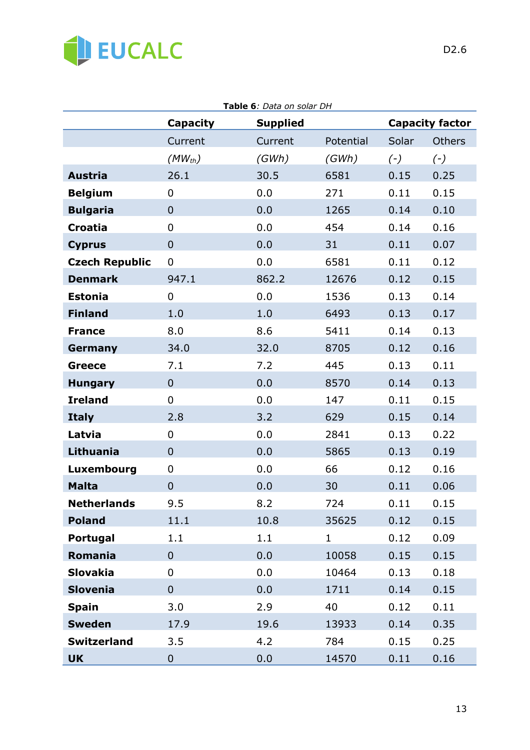

|                       |                 | <b>Table 6:</b> Data on solar DH |              |       |                        |
|-----------------------|-----------------|----------------------------------|--------------|-------|------------------------|
|                       | <b>Capacity</b> | <b>Supplied</b>                  |              |       | <b>Capacity factor</b> |
|                       | Current         | Current                          | Potential    | Solar | <b>Others</b>          |
|                       | $(MW_{th})$     | (GWh)                            | (GWh)        | $(-)$ | $(-)$                  |
| <b>Austria</b>        | 26.1            | 30.5                             | 6581         | 0.15  | 0.25                   |
| <b>Belgium</b>        | $\overline{0}$  | 0.0                              | 271          | 0.11  | 0.15                   |
| <b>Bulgaria</b>       | $\overline{0}$  | 0.0                              | 1265         | 0.14  | 0.10                   |
| <b>Croatia</b>        | $\mathbf 0$     | 0.0                              | 454          | 0.14  | 0.16                   |
| <b>Cyprus</b>         | $\overline{0}$  | 0.0                              | 31           | 0.11  | 0.07                   |
| <b>Czech Republic</b> | $\mathbf 0$     | 0.0                              | 6581         | 0.11  | 0.12                   |
| <b>Denmark</b>        | 947.1           | 862.2                            | 12676        | 0.12  | 0.15                   |
| <b>Estonia</b>        | 0               | 0.0                              | 1536         | 0.13  | 0.14                   |
| <b>Finland</b>        | 1.0             | 1.0                              | 6493         | 0.13  | 0.17                   |
| <b>France</b>         | 8.0             | 8.6                              | 5411         | 0.14  | 0.13                   |
| Germany               | 34.0            | 32.0                             | 8705         | 0.12  | 0.16                   |
| <b>Greece</b>         | 7.1             | 7.2                              | 445          | 0.13  | 0.11                   |
| <b>Hungary</b>        | $\mathbf 0$     | 0.0                              | 8570         | 0.14  | 0.13                   |
| <b>Ireland</b>        | $\overline{0}$  | 0.0                              | 147          | 0.11  | 0.15                   |
| <b>Italy</b>          | 2.8             | 3.2                              | 629          | 0.15  | 0.14                   |
| Latvia                | 0               | 0.0                              | 2841         | 0.13  | 0.22                   |
| Lithuania             | $\overline{0}$  | 0.0                              | 5865         | 0.13  | 0.19                   |
| Luxembourg            | $\mathbf 0$     | 0.0                              | 66           | 0.12  | 0.16                   |
| <b>Malta</b>          | $\overline{0}$  | 0.0                              | 30           | 0.11  | 0.06                   |
| <b>Netherlands</b>    | 9.5             | 8.2                              | 724          | 0.11  | 0.15                   |
| <b>Poland</b>         | 11.1            | 10.8                             | 35625        | 0.12  | 0.15                   |
| <b>Portugal</b>       | 1.1             | 1.1                              | $\mathbf{1}$ | 0.12  | 0.09                   |
| Romania               | $\overline{0}$  | 0.0                              | 10058        | 0.15  | 0.15                   |
| <b>Slovakia</b>       | 0               | 0.0                              | 10464        | 0.13  | 0.18                   |
| <b>Slovenia</b>       | $\overline{0}$  | 0.0                              | 1711         | 0.14  | 0.15                   |
| <b>Spain</b>          | 3.0             | 2.9                              | 40           | 0.12  | 0.11                   |
| <b>Sweden</b>         | 17.9            | 19.6                             | 13933        | 0.14  | 0.35                   |
| <b>Switzerland</b>    | 3.5             | 4.2                              | 784          | 0.15  | 0.25                   |
| <b>UK</b>             | $\mathbf 0$     | 0.0                              | 14570        | 0.11  | 0.16                   |

**Table 6***: Data on solar DH*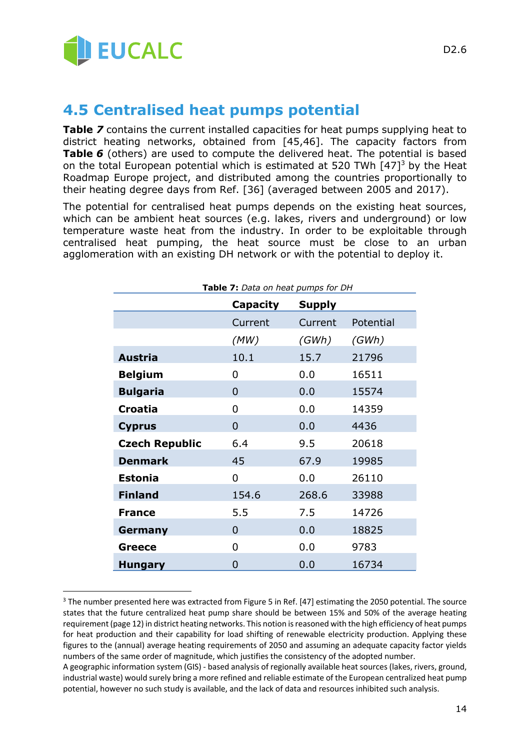

1

### **4.5 Centralised heat pumps potential**

**Table 7** contains the current installed capacities for heat pumps supplying heat to district heating networks, obtained from [45,46]. The capacity factors from **Table** *6* (others) are used to compute the delivered heat. The potential is based on the total European potential which is estimated at 520 TWh [47]<sup>3</sup> by the Heat Roadmap Europe project, and distributed among the countries proportionally to their heating degree days from Ref. [36] (averaged between 2005 and 2017).

The potential for centralised heat pumps depends on the existing heat sources, which can be ambient heat sources (e.g. lakes, rivers and underground) or low temperature waste heat from the industry. In order to be exploitable through centralised heat pumping, the heat source must be close to an urban agglomeration with an existing DH network or with the potential to deploy it.

| Table 7: Data on heat pumps for DH |          |               |           |
|------------------------------------|----------|---------------|-----------|
|                                    | Capacity | <b>Supply</b> |           |
|                                    | Current  | Current       | Potential |
|                                    | (MW)     | (GWh)         | (GWh)     |
| <b>Austria</b>                     | 10.1     | 15.7          | 21796     |
| <b>Belgium</b>                     | 0        | 0.0           | 16511     |
| <b>Bulgaria</b>                    | 0        | 0.0           | 15574     |
| <b>Croatia</b>                     | 0        | 0.0           | 14359     |
| <b>Cyprus</b>                      | 0        | 0.0           | 4436      |
| <b>Czech Republic</b>              | 6.4      | 9.5           | 20618     |
| <b>Denmark</b>                     | 45       | 67.9          | 19985     |
| <b>Estonia</b>                     | 0        | 0.0           | 26110     |
| <b>Finland</b>                     | 154.6    | 268.6         | 33988     |
| <b>France</b>                      | 5.5      | 7.5           | 14726     |
| Germany                            | 0        | 0.0           | 18825     |
| <b>Greece</b>                      | 0        | 0.0           | 9783      |
| Hungary                            | 0        | 0.0           | 16734     |

<sup>&</sup>lt;sup>3</sup> The number presented here was extracted from Figure 5 in Ref. [47] estimating the 2050 potential. The source states that the future centralized heat pump share should be between 15% and 50% of the average heating requirement (page 12) in district heating networks. This notion is reasoned with the high efficiency of heat pumps for heat production and their capability for load shifting of renewable electricity production. Applying these figures to the (annual) average heating requirements of 2050 and assuming an adequate capacity factor yields numbers of the same order of magnitude, which justifies the consistency of the adopted number.

A geographic information system (GIS) - based analysis of regionally available heat sources (lakes, rivers, ground, industrial waste) would surely bring a more refined and reliable estimate of the European centralized heat pump potential, however no such study is available, and the lack of data and resources inhibited such analysis.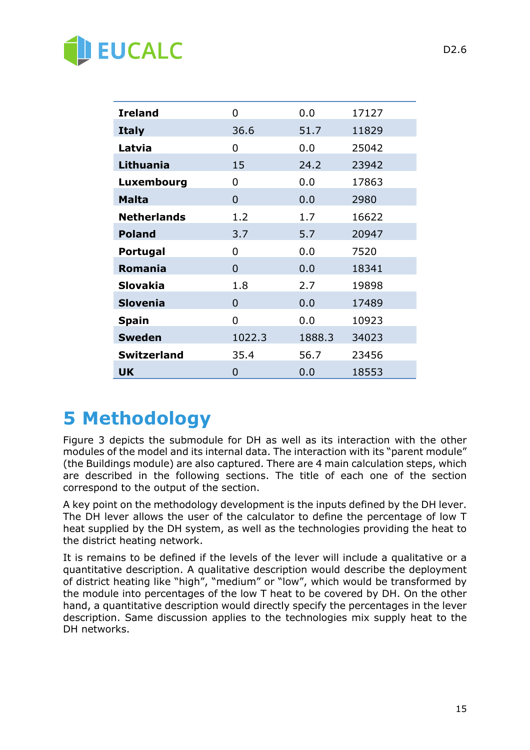# **BUCALC**

| <b>Ireland</b>     | 0            | 0.0    | 17127 |
|--------------------|--------------|--------|-------|
| <b>Italy</b>       | 36.6         | 51.7   | 11829 |
| Latvia             | 0            | 0.0    | 25042 |
| <b>Lithuania</b>   | 15           | 24.2   | 23942 |
| Luxembourg         | 0            | 0.0    | 17863 |
| <b>Malta</b>       | 0            | 0.0    | 2980  |
| <b>Netherlands</b> | 1.2          | 1.7    | 16622 |
| <b>Poland</b>      | 3.7          | 5.7    | 20947 |
| <b>Portugal</b>    | 0            | 0.0    | 7520  |
| Romania            | 0            | 0.0    | 18341 |
| <b>Slovakia</b>    | 1.8          | 2.7    | 19898 |
| <b>Slovenia</b>    | 0            | 0.0    | 17489 |
| <b>Spain</b>       | <sup>0</sup> | 0.0    | 10923 |
| <b>Sweden</b>      | 1022.3       | 1888.3 | 34023 |
| <b>Switzerland</b> | 35.4         | 56.7   | 23456 |
| <b>UK</b>          | 0            | 0.0    | 18553 |

## **5 Methodology**

Figure 3 depicts the submodule for DH as well as its interaction with the other modules of the model and its internal data. The interaction with its "parent module" (the Buildings module) are also captured. There are 4 main calculation steps, which are described in the following sections. The title of each one of the section correspond to the output of the section.

A key point on the methodology development is the inputs defined by the DH lever. The DH lever allows the user of the calculator to define the percentage of low T heat supplied by the DH system, as well as the technologies providing the heat to the district heating network.

It is remains to be defined if the levels of the lever will include a qualitative or a quantitative description. A qualitative description would describe the deployment of district heating like "high", "medium" or "low", which would be transformed by the module into percentages of the low T heat to be covered by DH. On the other hand, a quantitative description would directly specify the percentages in the lever description. Same discussion applies to the technologies mix supply heat to the DH networks.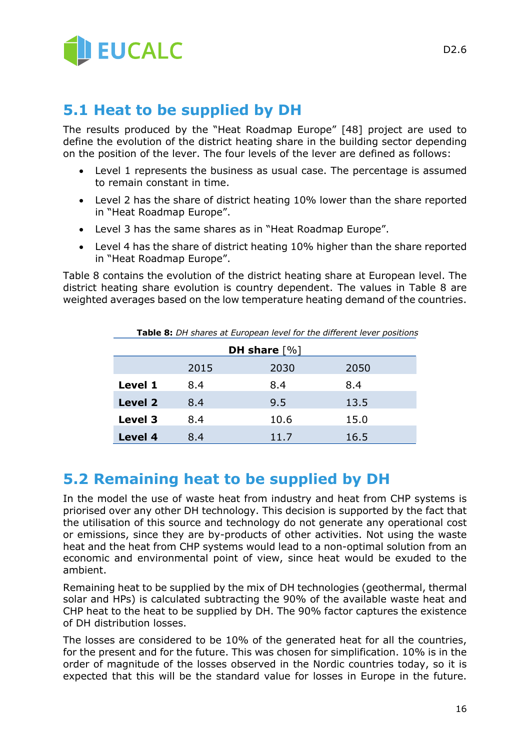

### **5.1 Heat to be supplied by DH**

The results produced by the "Heat Roadmap Europe" [48] project are used to define the evolution of the district heating share in the building sector depending on the position of the lever. The four levels of the lever are defined as follows:

- Level 1 represents the business as usual case. The percentage is assumed to remain constant in time.
- Level 2 has the share of district heating 10% lower than the share reported in "Heat Roadmap Europe".
- Level 3 has the same shares as in "Heat Roadmap Europe".
- Level 4 has the share of district heating 10% higher than the share reported in "Heat Roadmap Europe".

Table 8 contains the evolution of the district heating share at European level. The district heating share evolution is country dependent. The values in Table 8 are weighted averages based on the low temperature heating demand of the countries.

**Table 8:** *DH shares at European level for the different lever positions*

| DH share $[\%]$ |      |      |      |  |  |
|-----------------|------|------|------|--|--|
|                 | 2015 | 2030 | 2050 |  |  |
| Level 1         | 8.4  | 8.4  | 8.4  |  |  |
| <b>Level 2</b>  | 8.4  | 9.5  | 13.5 |  |  |
| Level 3         | 8.4  | 10.6 | 15.0 |  |  |
| <b>Level 4</b>  | 8.4  | 11.7 | 16.5 |  |  |

### **5.2 Remaining heat to be supplied by DH**

In the model the use of waste heat from industry and heat from CHP systems is priorised over any other DH technology. This decision is supported by the fact that the utilisation of this source and technology do not generate any operational cost or emissions, since they are by-products of other activities. Not using the waste heat and the heat from CHP systems would lead to a non-optimal solution from an economic and environmental point of view, since heat would be exuded to the ambient.

Remaining heat to be supplied by the mix of DH technologies (geothermal, thermal solar and HPs) is calculated subtracting the 90% of the available waste heat and CHP heat to the heat to be supplied by DH. The 90% factor captures the existence of DH distribution losses.

The losses are considered to be 10% of the generated heat for all the countries, for the present and for the future. This was chosen for simplification. 10% is in the order of magnitude of the losses observed in the Nordic countries today, so it is expected that this will be the standard value for losses in Europe in the future.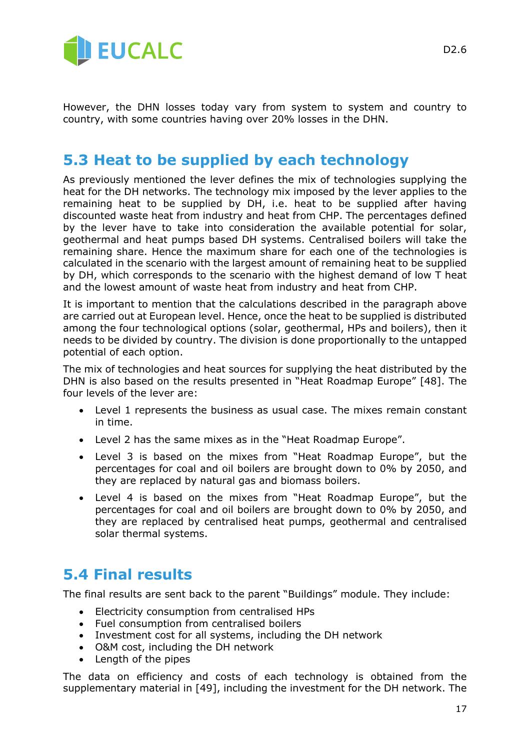

However, the DHN losses today vary from system to system and country to country, with some countries having over 20% losses in the DHN.

### **5.3 Heat to be supplied by each technology**

As previously mentioned the lever defines the mix of technologies supplying the heat for the DH networks. The technology mix imposed by the lever applies to the remaining heat to be supplied by DH, i.e. heat to be supplied after having discounted waste heat from industry and heat from CHP. The percentages defined by the lever have to take into consideration the available potential for solar, geothermal and heat pumps based DH systems. Centralised boilers will take the remaining share. Hence the maximum share for each one of the technologies is calculated in the scenario with the largest amount of remaining heat to be supplied by DH, which corresponds to the scenario with the highest demand of low T heat and the lowest amount of waste heat from industry and heat from CHP.

It is important to mention that the calculations described in the paragraph above are carried out at European level. Hence, once the heat to be supplied is distributed among the four technological options (solar, geothermal, HPs and boilers), then it needs to be divided by country. The division is done proportionally to the untapped potential of each option.

The mix of technologies and heat sources for supplying the heat distributed by the DHN is also based on the results presented in "Heat Roadmap Europe" [48]. The four levels of the lever are:

- Level 1 represents the business as usual case. The mixes remain constant in time.
- Level 2 has the same mixes as in the "Heat Roadmap Europe".
- Level 3 is based on the mixes from "Heat Roadmap Europe", but the percentages for coal and oil boilers are brought down to 0% by 2050, and they are replaced by natural gas and biomass boilers.
- Level 4 is based on the mixes from "Heat Roadmap Europe", but the percentages for coal and oil boilers are brought down to 0% by 2050, and they are replaced by centralised heat pumps, geothermal and centralised solar thermal systems.

### **5.4 Final results**

The final results are sent back to the parent "Buildings" module. They include:

- Electricity consumption from centralised HPs
- Fuel consumption from centralised boilers
- Investment cost for all systems, including the DH network
- O&M cost, including the DH network
- Length of the pipes

The data on efficiency and costs of each technology is obtained from the supplementary material in [49], including the investment for the DH network. The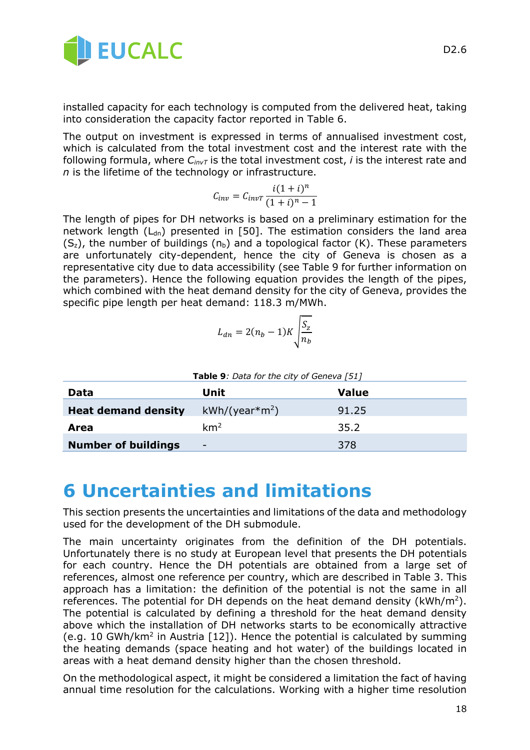

installed capacity for each technology is computed from the delivered heat, taking into consideration the capacity factor reported in Table 6.

The output on investment is expressed in terms of annualised investment cost, which is calculated from the total investment cost and the interest rate with the following formula, where *CinvT* is the total investment cost, *i* is the interest rate and *n* is the lifetime of the technology or infrastructure.

$$
C_{inv} = C_{invT} \frac{i(1+i)^n}{(1+i)^n - 1}
$$

The length of pipes for DH networks is based on a preliminary estimation for the network length  $(L<sub>dn</sub>)$  presented in [50]. The estimation considers the land area  $(S_z)$ , the number of buildings  $(n_b)$  and a topological factor (K). These parameters are unfortunately city-dependent, hence the city of Geneva is chosen as a representative city due to data accessibility (see Table 9 for further information on the parameters). Hence the following equation provides the length of the pipes, which combined with the heat demand density for the city of Geneva, provides the specific pipe length per heat demand: 118.3 m/MWh.

$$
L_{dn} = 2(n_b - 1)K \sqrt{\frac{S_z}{n_b}}
$$

| <b>Table 9:</b> Data for the city of Geneva [51] |                 |       |  |  |
|--------------------------------------------------|-----------------|-------|--|--|
| Data                                             | Unit            | Value |  |  |
| <b>Heat demand density</b>                       | $kWh/(year*m2)$ | 91.25 |  |  |
| Area                                             | km <sup>2</sup> | 35.2  |  |  |
| <b>Number of buildings</b>                       | -               | 378   |  |  |

## **6 Uncertainties and limitations**

This section presents the uncertainties and limitations of the data and methodology used for the development of the DH submodule.

The main uncertainty originates from the definition of the DH potentials. Unfortunately there is no study at European level that presents the DH potentials for each country. Hence the DH potentials are obtained from a large set of references, almost one reference per country, which are described in Table 3. This approach has a limitation: the definition of the potential is not the same in all references. The potential for DH depends on the heat demand density (kWh/m<sup>2</sup>). The potential is calculated by defining a threshold for the heat demand density above which the installation of DH networks starts to be economically attractive (e.g. 10 GWh/km<sup>2</sup> in Austria [12]). Hence the potential is calculated by summing the heating demands (space heating and hot water) of the buildings located in areas with a heat demand density higher than the chosen threshold.

On the methodological aspect, it might be considered a limitation the fact of having annual time resolution for the calculations. Working with a higher time resolution

18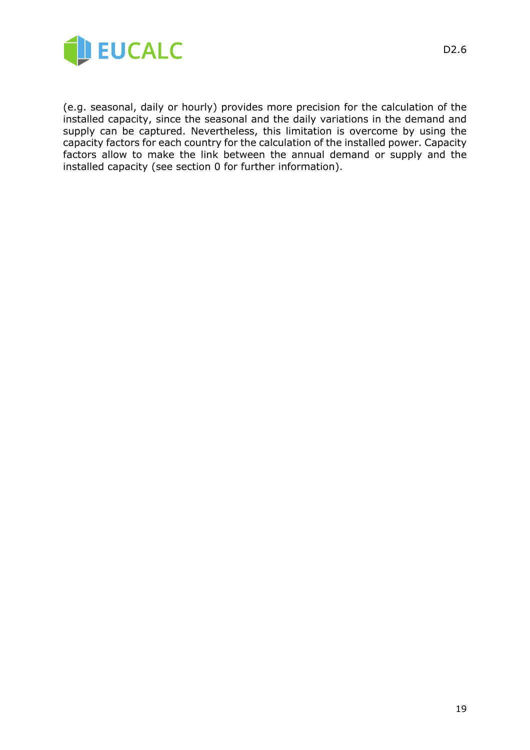

(e.g. seasonal, daily or hourly) provides more precision for the calculation of the installed capacity, since the seasonal and the daily variations in the demand and supply can be captured. Nevertheless, this limitation is overcome by using the capacity factors for each country for the calculation of the installed power. Capacity factors allow to make the link between the annual demand or supply and the installed capacity (see section 0 for further information).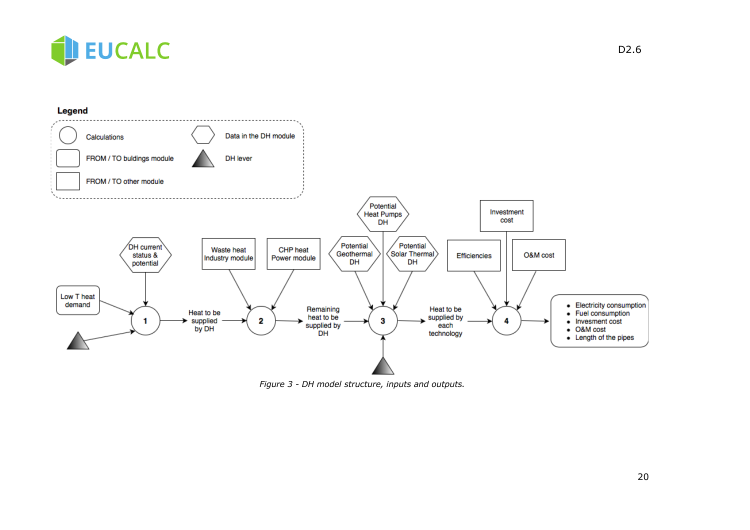



*Figure 3 - DH model structure, inputs and outputs.*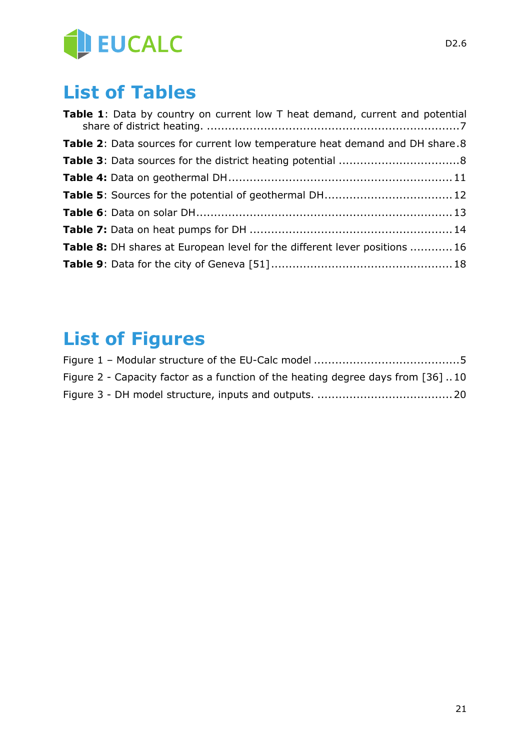

## **List of Tables**

| Table 1: Data by country on current low T heat demand, current and potential |  |
|------------------------------------------------------------------------------|--|
| Table 2: Data sources for current low temperature heat demand and DH share.8 |  |
|                                                                              |  |
|                                                                              |  |
|                                                                              |  |
|                                                                              |  |
|                                                                              |  |
| Table 8: DH shares at European level for the different lever positions  16   |  |
|                                                                              |  |

## **List of Figures**

| Figure 2 - Capacity factor as a function of the heating degree days from [36] 10 |  |
|----------------------------------------------------------------------------------|--|
|                                                                                  |  |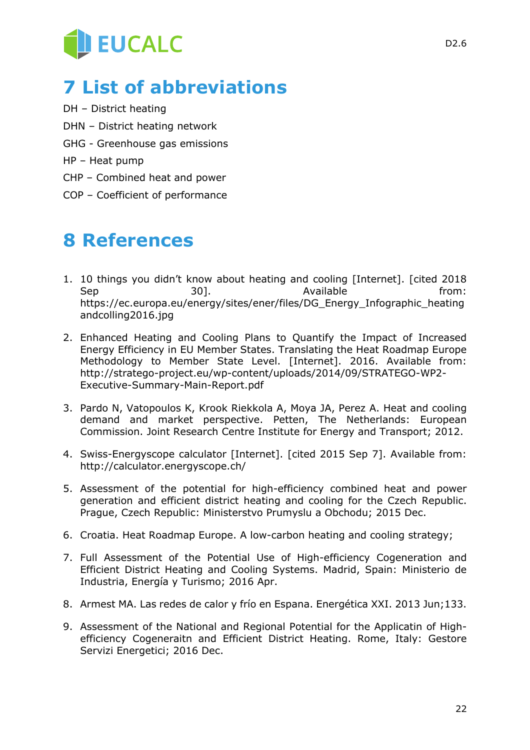# **EUCALC**

## **7 List of abbreviations**

- DH District heating
- DHN District heating network
- GHG Greenhouse gas emissions
- HP Heat pump
- CHP Combined heat and power
- COP Coefficient of performance

## **8 References**

- 1. 10 things you didn't know about heating and cooling [Internet]. [cited 2018 Sep 301. Available from: https://ec.europa.eu/energy/sites/ener/files/DG\_Energy\_Infographic\_heating andcolling2016.jpg
- 2. Enhanced Heating and Cooling Plans to Quantify the Impact of Increased Energy Efficiency in EU Member States. Translating the Heat Roadmap Europe Methodology to Member State Level. [Internet]. 2016. Available from: http://stratego-project.eu/wp-content/uploads/2014/09/STRATEGO-WP2- Executive-Summary-Main-Report.pdf
- 3. Pardo N, Vatopoulos K, Krook Riekkola A, Moya JA, Perez A. Heat and cooling demand and market perspective. Petten, The Netherlands: European Commission. Joint Research Centre Institute for Energy and Transport; 2012.
- 4. Swiss-Energyscope calculator [Internet]. [cited 2015 Sep 7]. Available from: http://calculator.energyscope.ch/
- 5. Assessment of the potential for high-efficiency combined heat and power generation and efficient district heating and cooling for the Czech Republic. Prague, Czech Republic: Ministerstvo Prumyslu a Obchodu; 2015 Dec.
- 6. Croatia. Heat Roadmap Europe. A low-carbon heating and cooling strategy;
- 7. Full Assessment of the Potential Use of High-efficiency Cogeneration and Efficient District Heating and Cooling Systems. Madrid, Spain: Ministerio de Industria, Energía y Turismo; 2016 Apr.
- 8. Armest MA. Las redes de calor y frío en Espana. Energética XXI. 2013 Jun;133.
- 9. Assessment of the National and Regional Potential for the Applicatin of Highefficiency Cogeneraitn and Efficient District Heating. Rome, Italy: Gestore Servizi Energetici; 2016 Dec.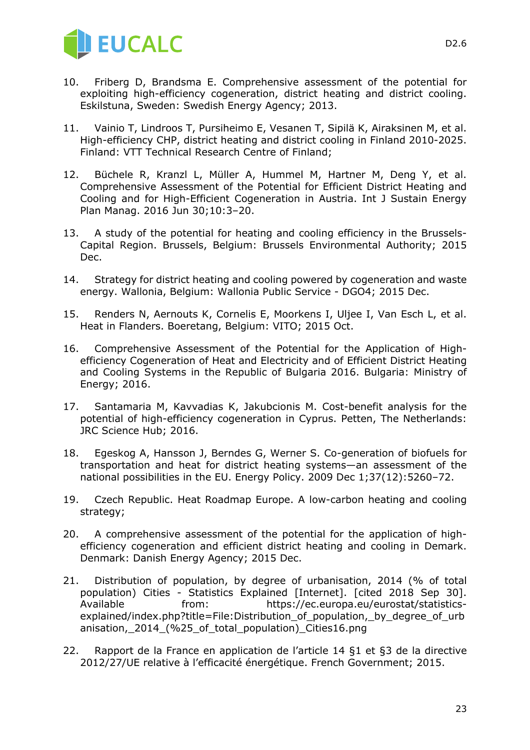

- 10. Friberg D, Brandsma E. Comprehensive assessment of the potential for exploiting high-efficiency cogeneration, district heating and district cooling. Eskilstuna, Sweden: Swedish Energy Agency; 2013.
- 11. Vainio T, Lindroos T, Pursiheimo E, Vesanen T, Sipilä K, Airaksinen M, et al. High-efficiency CHP, district heating and district cooling in Finland 2010-2025. Finland: VTT Technical Research Centre of Finland;
- 12. Büchele R, Kranzl L, Müller A, Hummel M, Hartner M, Deng Y, et al. Comprehensive Assessment of the Potential for Efficient District Heating and Cooling and for High-Efficient Cogeneration in Austria. Int J Sustain Energy Plan Manag. 2016 Jun 30;10:3–20.
- 13. A study of the potential for heating and cooling efficiency in the Brussels-Capital Region. Brussels, Belgium: Brussels Environmental Authority; 2015 Dec.
- 14. Strategy for district heating and cooling powered by cogeneration and waste energy. Wallonia, Belgium: Wallonia Public Service - DGO4; 2015 Dec.
- 15. Renders N, Aernouts K, Cornelis E, Moorkens I, Uljee I, Van Esch L, et al. Heat in Flanders. Boeretang, Belgium: VITO; 2015 Oct.
- 16. Comprehensive Assessment of the Potential for the Application of Highefficiency Cogeneration of Heat and Electricity and of Efficient District Heating and Cooling Systems in the Republic of Bulgaria 2016. Bulgaria: Ministry of Energy; 2016.
- 17. Santamaria M, Kavvadias K, Jakubcionis M. Cost-benefit analysis for the potential of high-efficiency cogeneration in Cyprus. Petten, The Netherlands: JRC Science Hub; 2016.
- 18. Egeskog A, Hansson J, Berndes G, Werner S. Co-generation of biofuels for transportation and heat for district heating systems—an assessment of the national possibilities in the EU. Energy Policy. 2009 Dec 1;37(12):5260–72.
- 19. Czech Republic. Heat Roadmap Europe. A low-carbon heating and cooling strategy;
- 20. A comprehensive assessment of the potential for the application of highefficiency cogeneration and efficient district heating and cooling in Demark. Denmark: Danish Energy Agency; 2015 Dec.
- 21. Distribution of population, by degree of urbanisation, 2014 (% of total population) Cities - Statistics Explained [Internet]. [cited 2018 Sep 30]. Available from: https://ec.europa.eu/eurostat/statisticsexplained/index.php?title=File:Distribution\_of\_population,\_by\_degree\_of\_urb anisation, 2014 (%25 of total population) Cities16.png
- 22. Rapport de la France en application de l'article 14 §1 et §3 de la directive 2012/27/UE relative à l'efficacité énergétique. French Government; 2015.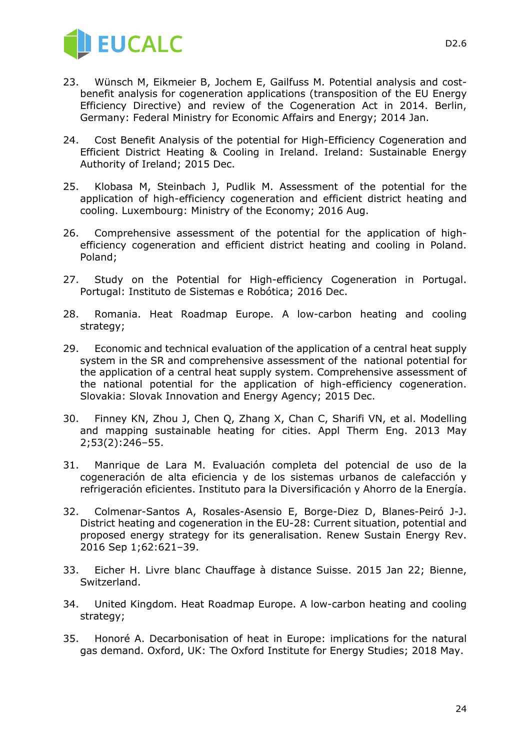

- 23. Wünsch M, Eikmeier B, Jochem E, Gailfuss M. Potential analysis and costbenefit analysis for cogeneration applications (transposition of the EU Energy Efficiency Directive) and review of the Cogeneration Act in 2014. Berlin, Germany: Federal Ministry for Economic Affairs and Energy; 2014 Jan.
- 24. Cost Benefit Analysis of the potential for High-Efficiency Cogeneration and Efficient District Heating & Cooling in Ireland. Ireland: Sustainable Energy Authority of Ireland; 2015 Dec.
- 25. Klobasa M, Steinbach J, Pudlik M. Assessment of the potential for the application of high-efficiency cogeneration and efficient district heating and cooling. Luxembourg: Ministry of the Economy; 2016 Aug.
- 26. Comprehensive assessment of the potential for the application of highefficiency cogeneration and efficient district heating and cooling in Poland. Poland;
- 27. Study on the Potential for High-efficiency Cogeneration in Portugal. Portugal: Instituto de Sistemas e Robótica; 2016 Dec.
- 28. Romania. Heat Roadmap Europe. A low-carbon heating and cooling strategy;
- 29. Economic and technical evaluation of the application of a central heat supply system in the SR and comprehensive assessment of the national potential for the application of a central heat supply system. Comprehensive assessment of the national potential for the application of high-efficiency cogeneration. Slovakia: Slovak Innovation and Energy Agency; 2015 Dec.
- 30. Finney KN, Zhou J, Chen Q, Zhang X, Chan C, Sharifi VN, et al. Modelling and mapping sustainable heating for cities. Appl Therm Eng. 2013 May 2;53(2):246–55.
- 31. Manrique de Lara M. Evaluación completa del potencial de uso de la cogeneración de alta eficiencia y de los sistemas urbanos de calefacción y refrigeración eficientes. Instituto para la Diversificación y Ahorro de la Energía.
- 32. Colmenar-Santos A, Rosales-Asensio E, Borge-Diez D, Blanes-Peiró J-J. District heating and cogeneration in the EU-28: Current situation, potential and proposed energy strategy for its generalisation. Renew Sustain Energy Rev. 2016 Sep 1;62:621–39.
- 33. Eicher H. Livre blanc Chauffage à distance Suisse. 2015 Jan 22; Bienne, Switzerland.
- 34. United Kingdom. Heat Roadmap Europe. A low-carbon heating and cooling strategy;
- 35. Honoré A. Decarbonisation of heat in Europe: implications for the natural gas demand. Oxford, UK: The Oxford Institute for Energy Studies; 2018 May.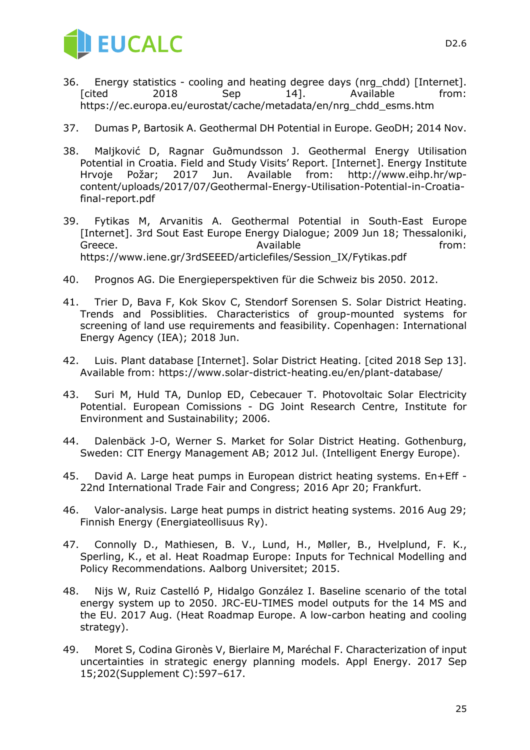

- 36. Energy statistics cooling and heating degree days (nrg\_chdd) [Internet]. [cited 2018 Sep 14]. Available from: https://ec.europa.eu/eurostat/cache/metadata/en/nrg\_chdd\_esms.htm
- 37. Dumas P, Bartosik A. Geothermal DH Potential in Europe. GeoDH; 2014 Nov.
- 38. Maljković D, Ragnar Guðmundsson J. Geothermal Energy Utilisation Potential in Croatia. Field and Study Visits' Report. [Internet]. Energy Institute Hrvoje Požar; 2017 Jun. Available from: http://www.eihp.hr/wpcontent/uploads/2017/07/Geothermal-Energy-Utilisation-Potential-in-Croatiafinal-report.pdf
- 39. Fytikas M, Arvanitis A. Geothermal Potential in South-East Europe [Internet]. 3rd Sout East Europe Energy Dialogue; 2009 Jun 18; Thessaloniki, Greece. The contract of the Available contract of the from: https://www.iene.gr/3rdSEEED/articlefiles/Session\_IX/Fytikas.pdf
- 40. Prognos AG. Die Energieperspektiven für die Schweiz bis 2050. 2012.
- 41. Trier D, Bava F, Kok Skov C, Stendorf Sorensen S. Solar District Heating. Trends and Possiblities. Characteristics of group-mounted systems for screening of land use requirements and feasibility. Copenhagen: International Energy Agency (IEA); 2018 Jun.
- 42. Luis. Plant database [Internet]. Solar District Heating. [cited 2018 Sep 13]. Available from: https://www.solar-district-heating.eu/en/plant-database/
- 43. Suri M, Huld TA, Dunlop ED, Cebecauer T. Photovoltaic Solar Electricity Potential. European Comissions - DG Joint Research Centre, Institute for Environment and Sustainability; 2006.
- 44. Dalenbäck J-O, Werner S. Market for Solar District Heating. Gothenburg, Sweden: CIT Energy Management AB; 2012 Jul. (Intelligent Energy Europe).
- 45. David A. Large heat pumps in European district heating systems. En+Eff 22nd International Trade Fair and Congress; 2016 Apr 20; Frankfurt.
- 46. Valor-analysis. Large heat pumps in district heating systems. 2016 Aug 29; Finnish Energy (Energiateollisuus Ry).
- 47. Connolly D., Mathiesen, B. V., Lund, H., Møller, B., Hvelplund, F. K., Sperling, K., et al. Heat Roadmap Europe: Inputs for Technical Modelling and Policy Recommendations. Aalborg Universitet; 2015.
- 48. Nijs W, Ruiz Castelló P, Hidalgo González I. Baseline scenario of the total energy system up to 2050. JRC-EU-TIMES model outputs for the 14 MS and the EU. 2017 Aug. (Heat Roadmap Europe. A low-carbon heating and cooling strategy).
- 49. Moret S, Codina Gironès V, Bierlaire M, Maréchal F. Characterization of input uncertainties in strategic energy planning models. Appl Energy. 2017 Sep 15;202(Supplement C):597–617.